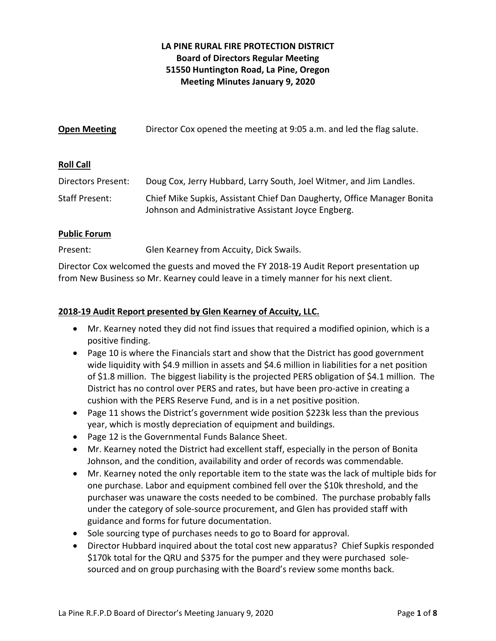# **LA PINE RURAL FIRE PROTECTION DISTRICT Board of Directors Regular Meeting 51550 Huntington Road, La Pine, Oregon Meeting Minutes January 9, 2020**

| <b>Open Meeting</b> | Director Cox opened the meeting at 9:05 a.m. and led the flag salute. |
|---------------------|-----------------------------------------------------------------------|
| <b>Roll Call</b>    |                                                                       |
| Directors Present:  | Doug Cox, Jerry Hubbard, Larry South, Joel Witmer, and Jim Landles.   |

Staff Present: Chief Mike Supkis, Assistant Chief Dan Daugherty, Office Manager Bonita Johnson and Administrative Assistant Joyce Engberg.

# **Public Forum**

Present: Glen Kearney from Accuity, Dick Swails.

Director Cox welcomed the guests and moved the FY 2018‐19 Audit Report presentation up from New Business so Mr. Kearney could leave in a timely manner for his next client.

# **2018‐19 Audit Report presented by Glen Kearney of Accuity, LLC.**

- Mr. Kearney noted they did not find issues that required a modified opinion, which is a positive finding.
- Page 10 is where the Financials start and show that the District has good government wide liquidity with \$4.9 million in assets and \$4.6 million in liabilities for a net position of \$1.8 million. The biggest liability is the projected PERS obligation of \$4.1 million. The District has no control over PERS and rates, but have been pro‐active in creating a cushion with the PERS Reserve Fund, and is in a net positive position.
- Page 11 shows the District's government wide position \$223k less than the previous year, which is mostly depreciation of equipment and buildings.
- Page 12 is the Governmental Funds Balance Sheet.
- Mr. Kearney noted the District had excellent staff, especially in the person of Bonita Johnson, and the condition, availability and order of records was commendable.
- Mr. Kearney noted the only reportable item to the state was the lack of multiple bids for one purchase. Labor and equipment combined fell over the \$10k threshold, and the purchaser was unaware the costs needed to be combined. The purchase probably falls under the category of sole‐source procurement, and Glen has provided staff with guidance and forms for future documentation.
- Sole sourcing type of purchases needs to go to Board for approval.
- Director Hubbard inquired about the total cost new apparatus? Chief Supkis responded \$170k total for the QRU and \$375 for the pumper and they were purchased sole‐ sourced and on group purchasing with the Board's review some months back.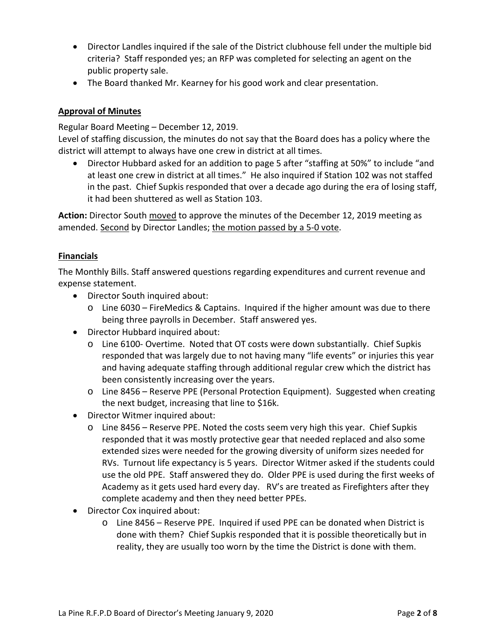- Director Landles inquired if the sale of the District clubhouse fell under the multiple bid criteria? Staff responded yes; an RFP was completed for selecting an agent on the public property sale.
- The Board thanked Mr. Kearney for his good work and clear presentation.

# **Approval of Minutes**

Regular Board Meeting – December 12, 2019.

Level of staffing discussion, the minutes do not say that the Board does has a policy where the district will attempt to always have one crew in district at all times.

 Director Hubbard asked for an addition to page 5 after "staffing at 50%" to include "and at least one crew in district at all times." He also inquired if Station 102 was not staffed in the past. Chief Supkis responded that over a decade ago during the era of losing staff, it had been shuttered as well as Station 103.

**Action:** Director South moved to approve the minutes of the December 12, 2019 meeting as amended. Second by Director Landles; the motion passed by a 5‐0 vote.

## **Financials**

The Monthly Bills. Staff answered questions regarding expenditures and current revenue and expense statement.

- Director South inquired about:
	- o Line 6030 FireMedics & Captains. Inquired if the higher amount was due to there being three payrolls in December. Staff answered yes.
- Director Hubbard inquired about:
	- o Line 6100‐ Overtime. Noted that OT costs were down substantially. Chief Supkis responded that was largely due to not having many "life events" or injuries this year and having adequate staffing through additional regular crew which the district has been consistently increasing over the years.
	- o Line 8456 Reserve PPE (Personal Protection Equipment). Suggested when creating the next budget, increasing that line to \$16k.
- Director Witmer inquired about:
	- o Line 8456 Reserve PPE. Noted the costs seem very high this year. Chief Supkis responded that it was mostly protective gear that needed replaced and also some extended sizes were needed for the growing diversity of uniform sizes needed for RVs. Turnout life expectancy is 5 years. Director Witmer asked if the students could use the old PPE. Staff answered they do. Older PPE is used during the first weeks of Academy as it gets used hard every day. RV's are treated as Firefighters after they complete academy and then they need better PPEs.
- Director Cox inquired about:
	- o Line 8456 Reserve PPE. Inquired if used PPE can be donated when District is done with them? Chief Supkis responded that it is possible theoretically but in reality, they are usually too worn by the time the District is done with them.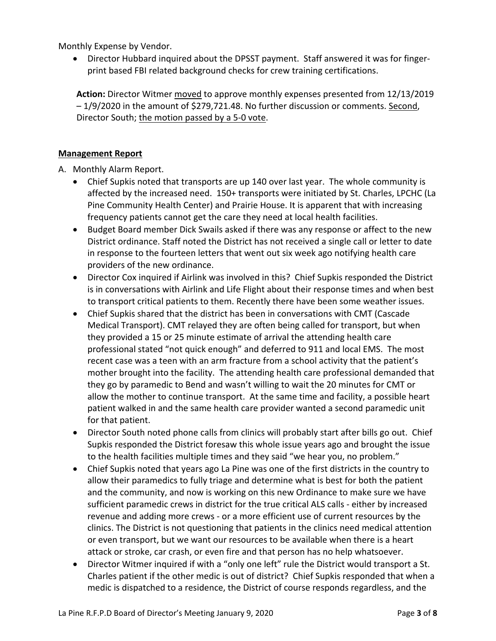Monthly Expense by Vendor.

● Director Hubbard inquired about the DPSST payment. Staff answered it was for fingerprint based FBI related background checks for crew training certifications.

**Action:** Director Witmer moved to approve monthly expenses presented from 12/13/2019 – 1/9/2020 in the amount of \$279,721.48. No further discussion or comments. Second, Director South; the motion passed by a 5‐0 vote.

## **Management Report**

A. Monthly Alarm Report.

- Chief Supkis noted that transports are up 140 over last year. The whole community is affected by the increased need. 150+ transports were initiated by St. Charles, LPCHC (La Pine Community Health Center) and Prairie House. It is apparent that with increasing frequency patients cannot get the care they need at local health facilities.
- Budget Board member Dick Swails asked if there was any response or affect to the new District ordinance. Staff noted the District has not received a single call or letter to date in response to the fourteen letters that went out six week ago notifying health care providers of the new ordinance.
- Director Cox inquired if Airlink was involved in this? Chief Supkis responded the District is in conversations with Airlink and Life Flight about their response times and when best to transport critical patients to them. Recently there have been some weather issues.
- Chief Supkis shared that the district has been in conversations with CMT (Cascade Medical Transport). CMT relayed they are often being called for transport, but when they provided a 15 or 25 minute estimate of arrival the attending health care professional stated "not quick enough" and deferred to 911 and local EMS. The most recent case was a teen with an arm fracture from a school activity that the patient's mother brought into the facility. The attending health care professional demanded that they go by paramedic to Bend and wasn't willing to wait the 20 minutes for CMT or allow the mother to continue transport. At the same time and facility, a possible heart patient walked in and the same health care provider wanted a second paramedic unit for that patient.
- Director South noted phone calls from clinics will probably start after bills go out. Chief Supkis responded the District foresaw this whole issue years ago and brought the issue to the health facilities multiple times and they said "we hear you, no problem."
- Chief Supkis noted that years ago La Pine was one of the first districts in the country to allow their paramedics to fully triage and determine what is best for both the patient and the community, and now is working on this new Ordinance to make sure we have sufficient paramedic crews in district for the true critical ALS calls ‐ either by increased revenue and adding more crews ‐ or a more efficient use of current resources by the clinics. The District is not questioning that patients in the clinics need medical attention or even transport, but we want our resources to be available when there is a heart attack or stroke, car crash, or even fire and that person has no help whatsoever.
- Director Witmer inquired if with a "only one left" rule the District would transport a St. Charles patient if the other medic is out of district? Chief Supkis responded that when a medic is dispatched to a residence, the District of course responds regardless, and the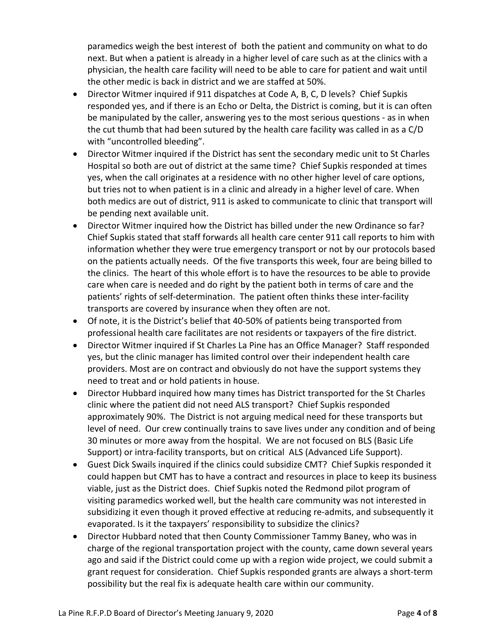paramedics weigh the best interest of both the patient and community on what to do next. But when a patient is already in a higher level of care such as at the clinics with a physician, the health care facility will need to be able to care for patient and wait until the other medic is back in district and we are staffed at 50%.

- Director Witmer inquired if 911 dispatches at Code A, B, C, D levels? Chief Supkis responded yes, and if there is an Echo or Delta, the District is coming, but it is can often be manipulated by the caller, answering yes to the most serious questions ‐ as in when the cut thumb that had been sutured by the health care facility was called in as a C/D with "uncontrolled bleeding".
- Director Witmer inquired if the District has sent the secondary medic unit to St Charles Hospital so both are out of district at the same time? Chief Supkis responded at times yes, when the call originates at a residence with no other higher level of care options, but tries not to when patient is in a clinic and already in a higher level of care. When both medics are out of district, 911 is asked to communicate to clinic that transport will be pending next available unit.
- Director Witmer inquired how the District has billed under the new Ordinance so far? Chief Supkis stated that staff forwards all health care center 911 call reports to him with information whether they were true emergency transport or not by our protocols based on the patients actually needs. Of the five transports this week, four are being billed to the clinics. The heart of this whole effort is to have the resources to be able to provide care when care is needed and do right by the patient both in terms of care and the patients' rights of self‐determination. The patient often thinks these inter‐facility transports are covered by insurance when they often are not.
- Of note, it is the District's belief that 40‐50% of patients being transported from professional health care facilitates are not residents or taxpayers of the fire district.
- Director Witmer inquired if St Charles La Pine has an Office Manager? Staff responded yes, but the clinic manager has limited control over their independent health care providers. Most are on contract and obviously do not have the support systems they need to treat and or hold patients in house.
- Director Hubbard inquired how many times has District transported for the St Charles clinic where the patient did not need ALS transport? Chief Supkis responded approximately 90%. The District is not arguing medical need for these transports but level of need. Our crew continually trains to save lives under any condition and of being 30 minutes or more away from the hospital. We are not focused on BLS (Basic Life Support) or intra-facility transports, but on critical ALS (Advanced Life Support).
- Guest Dick Swails inquired if the clinics could subsidize CMT? Chief Supkis responded it could happen but CMT has to have a contract and resources in place to keep its business viable, just as the District does. Chief Supkis noted the Redmond pilot program of visiting paramedics worked well, but the health care community was not interested in subsidizing it even though it proved effective at reducing re‐admits, and subsequently it evaporated. Is it the taxpayers' responsibility to subsidize the clinics?
- Director Hubbard noted that then County Commissioner Tammy Baney, who was in charge of the regional transportation project with the county, came down several years ago and said if the District could come up with a region wide project, we could submit a grant request for consideration. Chief Supkis responded grants are always a short‐term possibility but the real fix is adequate health care within our community.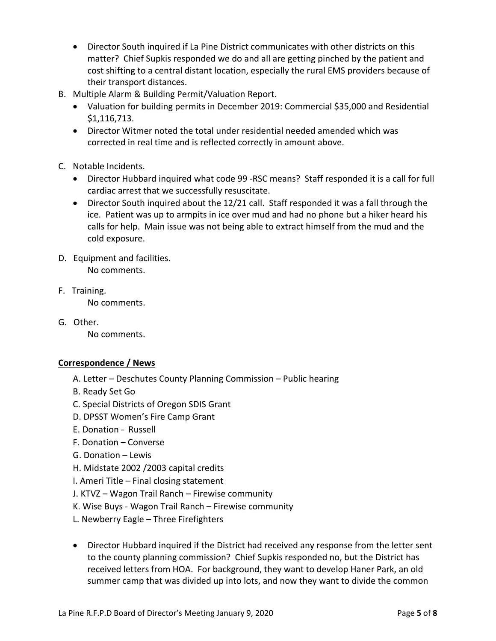- Director South inquired if La Pine District communicates with other districts on this matter? Chief Supkis responded we do and all are getting pinched by the patient and cost shifting to a central distant location, especially the rural EMS providers because of their transport distances.
- B. Multiple Alarm & Building Permit/Valuation Report.
	- Valuation for building permits in December 2019: Commercial \$35,000 and Residential \$1,116,713.
	- Director Witmer noted the total under residential needed amended which was corrected in real time and is reflected correctly in amount above.
- C. Notable Incidents.
	- Director Hubbard inquired what code 99 ‐RSC means? Staff responded it is a call for full cardiac arrest that we successfully resuscitate.
	- Director South inquired about the 12/21 call. Staff responded it was a fall through the ice. Patient was up to armpits in ice over mud and had no phone but a hiker heard his calls for help. Main issue was not being able to extract himself from the mud and the cold exposure.
- D. Equipment and facilities. No comments.

- F. Training. No comments.
- G. Other.

No comments.

# **Correspondence / News**

- A. Letter Deschutes County Planning Commission Public hearing
- B. Ready Set Go
- C. Special Districts of Oregon SDIS Grant
- D. DPSST Women's Fire Camp Grant
- E. Donation ‐ Russell
- F. Donation Converse
- G. Donation Lewis
- H. Midstate 2002 /2003 capital credits
- I. Ameri Title Final closing statement
- J. KTVZ Wagon Trail Ranch Firewise community
- K. Wise Buys ‐ Wagon Trail Ranch Firewise community
- L. Newberry Eagle Three Firefighters
- Director Hubbard inquired if the District had received any response from the letter sent to the county planning commission? Chief Supkis responded no, but the District has received letters from HOA. For background, they want to develop Haner Park, an old summer camp that was divided up into lots, and now they want to divide the common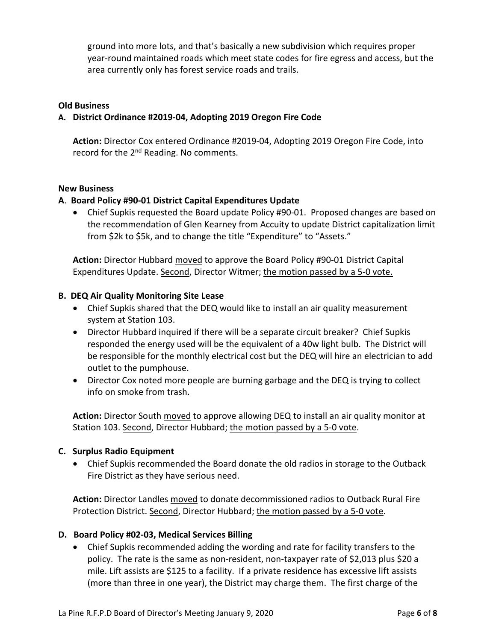ground into more lots, and that's basically a new subdivision which requires proper year‐round maintained roads which meet state codes for fire egress and access, but the area currently only has forest service roads and trails.

#### **Old Business**

### **A. District Ordinance #2019‐04, Adopting 2019 Oregon Fire Code**

**Action:** Director Cox entered Ordinance #2019‐04, Adopting 2019 Oregon Fire Code, into record for the 2<sup>nd</sup> Reading. No comments.

#### **New Business**

### **A**. **Board Policy #90‐01 District Capital Expenditures Update**

 Chief Supkis requested the Board update Policy #90‐01. Proposed changes are based on the recommendation of Glen Kearney from Accuity to update District capitalization limit from \$2k to \$5k, and to change the title "Expenditure" to "Assets."

**Action:** Director Hubbard moved to approve the Board Policy #90‐01 District Capital Expenditures Update. Second, Director Witmer; the motion passed by a 5-0 vote.

### **B. DEQ Air Quality Monitoring Site Lease**

- Chief Supkis shared that the DEQ would like to install an air quality measurement system at Station 103.
- Director Hubbard inquired if there will be a separate circuit breaker? Chief Supkis responded the energy used will be the equivalent of a 40w light bulb. The District will be responsible for the monthly electrical cost but the DEQ will hire an electrician to add outlet to the pumphouse.
- Director Cox noted more people are burning garbage and the DEQ is trying to collect info on smoke from trash.

**Action:** Director South moved to approve allowing DEQ to install an air quality monitor at Station 103. Second, Director Hubbard; the motion passed by a 5‐0 vote.

### **C. Surplus Radio Equipment**

 Chief Supkis recommended the Board donate the old radios in storage to the Outback Fire District as they have serious need.

**Action:** Director Landles moved to donate decommissioned radios to Outback Rural Fire Protection District. Second, Director Hubbard; the motion passed by a 5‐0 vote.

### **D. Board Policy #02‐03, Medical Services Billing**

 Chief Supkis recommended adding the wording and rate for facility transfers to the policy. The rate is the same as non‐resident, non‐taxpayer rate of \$2,013 plus \$20 a mile. Lift assists are \$125 to a facility. If a private residence has excessive lift assists (more than three in one year), the District may charge them. The first charge of the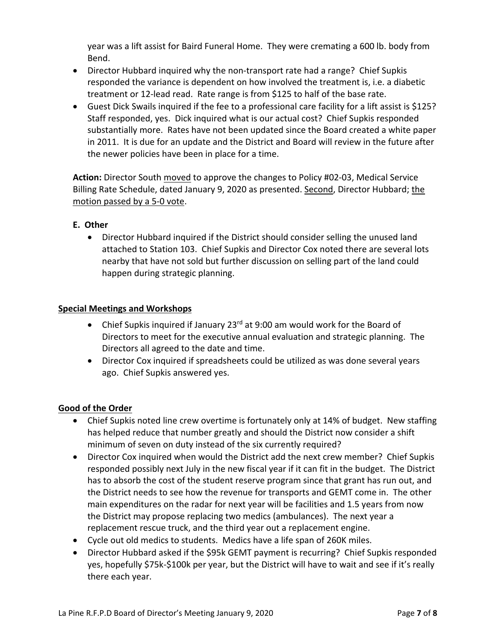year was a lift assist for Baird Funeral Home. They were cremating a 600 lb. body from Bend.

- Director Hubbard inquired why the non-transport rate had a range? Chief Supkis responded the variance is dependent on how involved the treatment is, i.e. a diabetic treatment or 12‐lead read. Rate range is from \$125 to half of the base rate.
- Guest Dick Swails inquired if the fee to a professional care facility for a lift assist is \$125? Staff responded, yes. Dick inquired what is our actual cost? Chief Supkis responded substantially more. Rates have not been updated since the Board created a white paper in 2011. It is due for an update and the District and Board will review in the future after the newer policies have been in place for a time.

Action: Director South moved to approve the changes to Policy #02-03, Medical Service Billing Rate Schedule, dated January 9, 2020 as presented. Second, Director Hubbard; the motion passed by a 5‐0 vote.

# **E. Other**

 Director Hubbard inquired if the District should consider selling the unused land attached to Station 103. Chief Supkis and Director Cox noted there are several lots nearby that have not sold but further discussion on selling part of the land could happen during strategic planning.

# **Special Meetings and Workshops**

- Chief Supkis inquired if January 23 $^{rd}$  at 9:00 am would work for the Board of Directors to meet for the executive annual evaluation and strategic planning. The Directors all agreed to the date and time.
- Director Cox inquired if spreadsheets could be utilized as was done several years ago. Chief Supkis answered yes.

# **Good of the Order**

- Chief Supkis noted line crew overtime is fortunately only at 14% of budget. New staffing has helped reduce that number greatly and should the District now consider a shift minimum of seven on duty instead of the six currently required?
- Director Cox inquired when would the District add the next crew member? Chief Supkis responded possibly next July in the new fiscal year if it can fit in the budget. The District has to absorb the cost of the student reserve program since that grant has run out, and the District needs to see how the revenue for transports and GEMT come in. The other main expenditures on the radar for next year will be facilities and 1.5 years from now the District may propose replacing two medics (ambulances). The next year a replacement rescue truck, and the third year out a replacement engine.
- Cycle out old medics to students. Medics have a life span of 260K miles.
- Director Hubbard asked if the \$95k GEMT payment is recurring? Chief Supkis responded yes, hopefully \$75k‐\$100k per year, but the District will have to wait and see if it's really there each year.